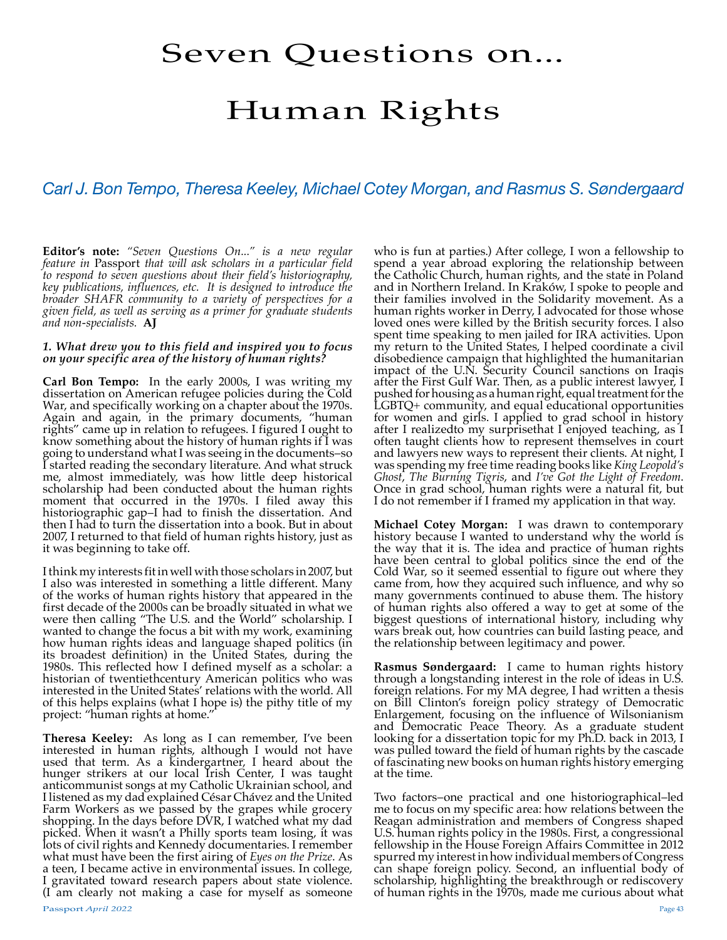# Seven Questions on...

# Human Rights

# *Carl J. Bon Tempo, Theresa Keeley, Michael Cotey Morgan, and Rasmus S. Søndergaard*

**Editor's note:** *"Seven Questions On..." is a new regular feature in* Passport *that will ask scholars in a particular field to respond to seven questions about their field's historiography, key publications, influences, etc. It is designed to introduce the broader SHAFR community to a variety of perspectives for a given field, as well as serving as a primer for graduate students and non-specialists.* **AJ**

#### *1. What drew you to this field and inspired you to focus on your specific area of the history of human rights?*

**Carl Bon Tempo:** In the early 2000s, I was writing my dissertation on American refugee policies during the Cold War, and specifically working on a chapter about the 1970s. Again and again, in the primary documents, "human rights" came up in relation to refugees. I figured I ought to know something about the history of human rights if I was going to understand what I was seeing in the documents–so I started reading the secondary literature. And what struck me, almost immediately, was how little deep historical scholarship had been conducted about the human rights moment that occurred in the 1970s. I filed away this historiographic gap–I had to finish the dissertation. And then I had to turn the dissertation into a book. But in about 2007, I returned to that field of human rights history, just as it was beginning to take off.

I think my interests fit in well with those scholars in 2007, but I also was interested in something a little different. Many of the works of human rights history that appeared in the first decade of the 2000s can be broadly situated in what we were then calling "The U.S. and the World" scholarship. I wanted to change the focus a bit with my work, examining how human rights ideas and language shaped politics (in its broadest definition) in the United States, during the 1980s. This reflected how I defined myself as a scholar: a historian of twentiethcentury American politics who was interested in the United States' relations with the world. All of this helps explains (what I hope is) the pithy title of my project: "human rights at home."

**Theresa Keeley:** As long as I can remember, I've been interested in human rights, although I would not have used that term. As a kindergartner, I heard about the hunger strikers at our local Irish Center, I was taught anticommunist songs at my Catholic Ukrainian school, and I listened as my dad explained César Chávez and the United Farm Workers as we passed by the grapes while grocery shopping. In the days before DVR, I watched what my dad picked. When it wasn't a Philly sports team losing, it was lots of civil rights and Kennedy documentaries. I remember what must have been the first airing of *Eyes on the Prize*. As a teen, I became active in environmental issues. In college, I gravitated toward research papers about state violence. (I am clearly not making a case for myself as someone

spend a year abroad exploring the relationship between the Catholic Church, human rights, and the state in Poland and in Northern Ireland. In Kraków, I spoke to people and their families involved in the Solidarity movement. As a human rights worker in Derry, I advocated for those whose loved ones were killed by the British security forces. I also spent time speaking to men jailed for IRA activities. Upon my return to the United States, I helped coordinate a civil disobedience campaign that highlighted the humanitarian impact of the U.N. Security Council sanctions on Iraqis after the First Gulf War. Then, as a public interest lawyer, I pushed for housing as a human right, equal treatment for the LGBTQ+ community, and equal educational opportunities for women and girls. I applied to grad school in history after I realizedto my surprisethat I enjoyed teaching, as I often taught clients how to represent themselves in court and lawyers new ways to represent their clients. At night, I was spending my free time reading books like *King Leopold's Ghost*, *The Burning Tigris*, and *I've Got the Light of Freedom*. Once in grad school, human rights were a natural fit, but I do not remember if I framed my application in that way.

who is fun at parties.) After college, I won a fellowship to

**Michael Cotey Morgan:** I was drawn to contemporary history because I wanted to understand why the world is the way that it is. The idea and practice of human rights have been central to global politics since the end of the Cold War, so it seemed essential to figure out where they came from, how they acquired such influence, and why so many governments continued to abuse them. The history of human rights also offered a way to get at some of the biggest questions of international history, including why wars break out, how countries can build lasting peace, and the relationship between legitimacy and power.

**Rasmus Søndergaard:** I came to human rights history through a longstanding interest in the role of ideas in U.S. foreign relations. For my MA degree, I had written a thesis on Bill Clinton's foreign policy strategy of Democratic Enlargement, focusing on the influence of Wilsonianism and Democratic Peace Theory. As a graduate student looking for a dissertation topic for my Ph.D. back in 2013, I was pulled toward the field of human rights by the cascade of fascinating new books on human rights history emerging at the time.

Two factors–one practical and one historiographical–led me to focus on my specific area: how relations between the Reagan administration and members of Congress shaped U.S. human rights policy in the 1980s. First, a congressional fellowship in the House Foreign Affairs Committee in 2012 spurred my interest in how individual members of Congress can shape foreign policy. Second, an influential body of scholarship, highlighting the breakthrough or rediscovery of human rights in the 1970s, made me curious about what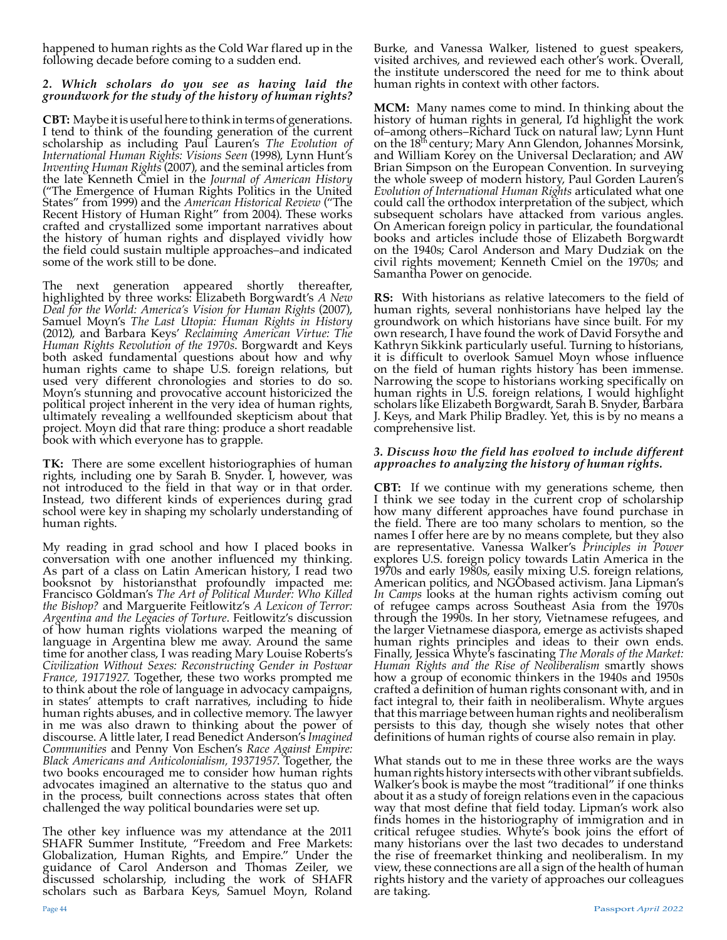happened to human rights as the Cold War flared up in the following decade before coming to a sudden end.

# *2. Which scholars do you see as having laid the groundwork for the study of the history of human rights?*

**CBT:** Maybe it is useful here to think in terms of generations. I tend to think of the founding generation of the current scholarship as including Paul Lauren's *The Evolution of International Human Rights: Visions Seen* (1998), Lynn Hunt's *Inventing Human Rights* (2007), and the seminal articles from the late Kenneth Cmiel in the *Journal of American History*  ("The Emergence of Human Rights Politics in the United States" from 1999) and the *American Historical Review* ("The Recent History of Human Right" from 2004). These works crafted and crystallized some important narratives about the history of human rights and displayed vividly how the field could sustain multiple approaches–and indicated some of the work still to be done.

The next generation appeared shortly thereafter, highlighted by three works: Elizabeth Borgwardt's *A New Deal for the World: America's Vision for Human Rights* (2007), Samuel Moyn's *The Last Utopia: Human Rights in History*  (2012), and Barbara Keys' *Reclaiming American Virtue: The Human Rights Revolution of the 1970s*. Borgwardt and Keys both asked fundamental questions about how and why human rights came to shape U.S. foreign relations, but used very different chronologies and stories to do so. Moyn's stunning and provocative account historicized the political project inherent in the very idea of human rights, ultimately revealing a wellfounded skepticism about that project. Moyn did that rare thing: produce a short readable book with which everyone has to grapple.

**TK:** There are some excellent historiographies of human rights, including one by Sarah B. Snyder. I, however, was not introduced to the field in that way or in that order. Instead, two different kinds of experiences during grad school were key in shaping my scholarly understanding of human rights.

My reading in grad school and how I placed books in conversation with one another influenced my thinking. As part of a class on Latin American history, I read two booksnot by historiansthat profoundly impacted me:<br>Francisco Goldman's The Art of Political Murder: Who Killed Francisco Goldman's *The Art of Political Murder: Who Killed the Bishop?* and Marguerite Feitlowitz's *A Lexicon of Terror: Argentina and the Legacies of Torture*. Feitlowitz's discussion of how human rights violations warped the meaning of language in Argentina blew me away. Around the same time for another class, I was reading Mary Louise Roberts's *Civilization Without Sexes: Reconstructing Gender in Postwar*  to think about the role of language in advocacy campaigns, in states' attempts to craft narratives, including to hide human rights abuses, and in collective memory. The lawyer in me was also drawn to thinking about the power of discourse. A little later, I read Benedict Anderson's *Imagined Communities* and Penny Von Eschen's *Race Against Empire: Black Americans and Anticolonialism, 19371957*. Together, the two books encouraged me to consider how human rights advocates imagined an alternative to the status quo and in the process, built connections across states that often challenged the way political boundaries were set up.

The other key influence was my attendance at the 2011 SHAFR Summer Institute, "Freedom and Free Markets: Globalization, Human Rights, and Empire." Under the guidance of Carol Anderson and Thomas Zeiler, we discussed scholarship, including the work of SHAFR scholars such as Barbara Keys, Samuel Moyn, Roland Burke, and Vanessa Walker, listened to guest speakers, visited archives, and reviewed each other's work. Overall, the institute underscored the need for me to think about human rights in context with other factors.

**MCM:** Many names come to mind. In thinking about the history of human rights in general, I'd highlight the work of–among others–Richard Tuck on natural law; Lynn Hunt on the 18th century; Mary Ann Glendon, Johannes Morsink, and William Korey on the Universal Declaration; and AW Brian Simpson on the European Convention. In surveying the whole sweep of modern history, Paul Gorden Lauren's *Evolution of International Human Rights* articulated what one could call the orthodox interpretation of the subject, which subsequent scholars have attacked from various angles. On American foreign policy in particular, the foundational books and articles include those of Elizabeth Borgwardt on the 1940s; Carol Anderson and Mary Dudziak on the civil rights movement; Kenneth Cmiel on the 1970s; and Samantha Power on genocide.

**RS:** With historians as relative latecomers to the field of human rights, several nonhistorians have helped lay the groundwork on which historians have since built. For my own research, I have found the work of David Forsythe and Kathryn Sikkink particularly useful. Turning to historians, it is difficult to overlook Samuel Moyn whose influence on the field of human rights history has been immense. Narrowing the scope to historians working specifically on human rights in U.S. foreign relations, I would highlight scholars like Elizabeth Borgwardt, Sarah B. Snyder, Barbara J. Keys, and Mark Philip Bradley. Yet, this is by no means a comprehensive list.

# *3. Discuss how the field has evolved to include different approaches to analyzing the history of human rights.*

**CBT:** If we continue with my generations scheme, then I think we see today in the current crop of scholarship how many different approaches have found purchase in the field. There are too many scholars to mention, so the names I offer here are by no means complete, but they also are representative. Vanessa Walker's *Principles in Power*  explores U.S. foreign policy towards Latin America in the 1970s and early 1980s, easily mixing U.S. foreign relations, American politics, and NGÓbased activism. Jana Lipman's *In Camps* looks at the human rights activism coming out of refugee camps across Southeast Asia from the 1970s through the 1990s. In her story, Vietnamese refugees, and the larger Vietnamese diaspora, emerge as activists shaped human rights principles and ideas to their own ends.<br>Finally, Jessica Whyte's fascinating The Morals of the Market: Finally, Jessica Whyte's fascinating *The Morals of the Market: Human Rights and the Rise of Neoliberalism* smartly shows how a group of economic thinkers in the 1940s and 1950s crafted a definition of human rights consonant with, and in fact integral to, their faith in neoliberalism. Whyte argues that this marriage between human rights and neoliberalism persists to this day, though she wisely notes that other definitions of human rights of course also remain in play.

What stands out to me in these three works are the ways human rights history intersects with other vibrant subfields. Walker's book is maybe the most "traditional" if one thinks about it as a study of foreign relations even in the capacious way that most define that field today. Lipman's work also finds homes in the historiography of immigration and in critical refugee studies. Whyte's book joins the effort of many historians over the last two decades to understand the rise of freemarket thinking and neoliberalism. In my view, these connections are all a sign of the health of human rights history and the variety of approaches our colleagues are taking.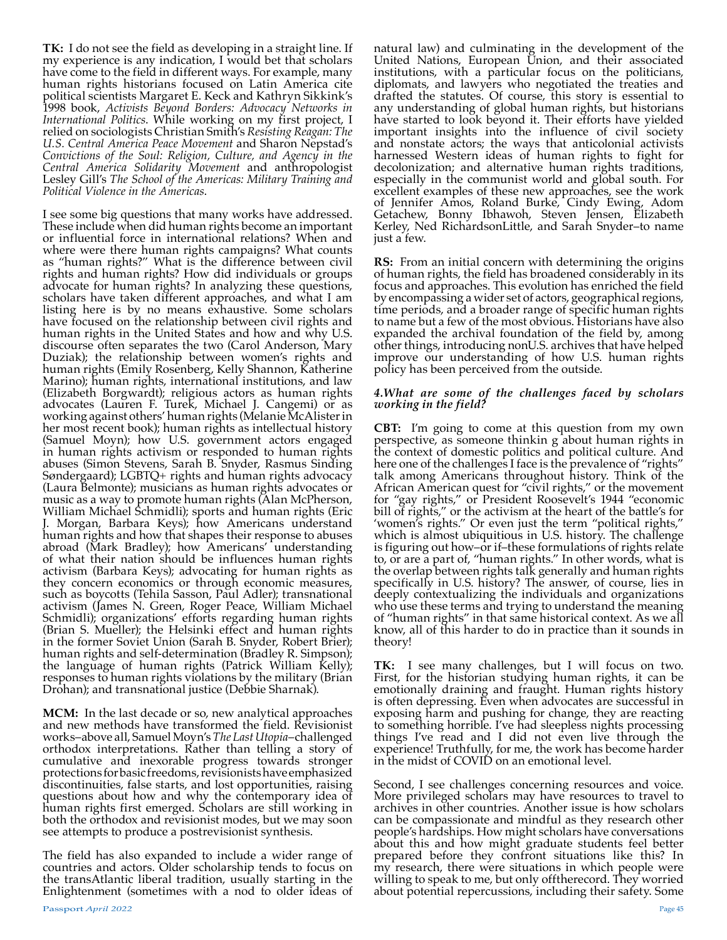**TK:** I do not see the field as developing in a straight line. If my experience is any indication, I would bet that scholars have come to the field in different ways. For example, many human rights historians focused on Latin America cite political scientists Margaret E. Keck and Kathryn Sikkink's 1998 book, *Activists Beyond Borders: Advocacy Networks in International Politics*. While working on my first project, I relied on sociologists Christian Smith's *Resisting Reagan: The U.S. Central America Peace Movement* and Sharon Nepstad's *Convictions of the Soul: Religion, Culture, and Agency in the Central America Solidarity Movement* and anthropologist Lesley Gill's *The School of the Americas: Military Training and Political Violence in the Americas*.

I see some big questions that many works have addressed. These include when did human rights become an important or influential force in international relations? When and where were there human rights campaigns? What counts as "human rights?" What is the difference between civil rights and human rights? How did individuals or groups advocate for human rights? In analyzing these questions, scholars have taken different approaches, and what I am listing here is by no means exhaustive. Some scholars have focused on the relationship between civil rights and human rights in the United States and how and why U.S. discourse often separates the two (Carol Anderson, Mary Duziak); the relationship between women's rights and human rights (Emily Rosenberg, Kelly Shannon, Katherine Marino); human rights, international institutions, and law (Elizabeth Borgwardt); religious actors as human rights advocates (Lauren F. Turek, Michael J. Cangemi) or as working against others' human rights (Melanie McAlister in her most recent book); human rights as intellectual history (Samuel Moyn); how U.S. government actors engaged in human rights activism or responded to human rights abuses (Simon Stevens, Sarah B. Snyder, Rasmus Sinding Søndergaard); LGBTQ+ rights and human rights advocacy (Laura Belmonte); musicians as human rights advocates or music as a way to promote human rights (Alan McPherson, William Michael Schmidli); sports and human rights (Eric J. Morgan, Barbara Keys); how Americans understand human rights and how that shapes their response to abuses abroad (Mark Bradley); how Americans' understanding of what their nation should be influences human rights activism (Barbara Keys); advocating for human rights as they concern economics or through economic measures, such as boycotts (Tehila Sasson, Paul Adler); transnational activism (James N. Green, Roger Peace, William Michael Schmidli); organizations' efforts regarding human rights (Brian S. Mueller); the Helsinki effect and human rights in the former Soviet Union (Sarah B. Snyder, Robert Brier); human rights and self-determination (Bradley R. Simpson); the language of human rights (Patrick William Kelly); responses to human rights violations by the military (Brian Drohan); and transnational justice (Debbie Sharnak).

**MCM:** In the last decade or so, new analytical approaches and new methods have transformed the field. Revisionist works–above all, Samuel Moyn's *The Last Utopia*–challenged orthodox interpretations. Rather than telling a story of cumulative and inexorable progress towards stronger protections for basic freedoms, revisionists have emphasized discontinuities, false starts, and lost opportunities, raising questions about how and why the contemporary idea of human rights first emerged. Scholars are still working in both the orthodox and revisionist modes, but we may soon see attempts to produce a postrevisionist synthesis.

The field has also expanded to include a wider range of countries and actors. Older scholarship tends to focus on the transAtlantic liberal tradition, usually starting in the Enlightenment (sometimes with a nod to older ideas of

natural law) and culminating in the development of the United Nations, European Union, and their associated institutions, with a particular focus on the politicians, diplomats, and lawyers who negotiated the treaties and drafted the statutes. Of course, this story is essential to any understanding of global human rights, but historians have started to look beyond it. Their efforts have yielded important insights into the influence of civil society and nonstate actors; the ways that anticolonial activists harnessed Western ideas of human rights to fight for decolonization; and alternative human rights traditions, especially in the communist world and global south. For excellent examples of these new approaches, see the work of Jennifer Amos, Roland Burke, Cindy Ewing, Adom Getachew, Bonny Ibhawoh, Steven Jensen, Elizabeth Kerley, Ned RichardsonLittle, and Sarah Snyder–to name just a few.

**RS:** From an initial concern with determining the origins of human rights, the field has broadened considerably in its focus and approaches. This evolution has enriched the field by encompassing a wider set of actors, geographical regions, time periods, and a broader range of specific human rights to name but a few of the most obvious. Historians have also expanded the archival foundation of the field by, among other things, introducing nonU.S. archives that have helped improve our understanding of how U.S. human rights policy has been perceived from the outside.

## *4.What are some of the challenges faced by scholars working in the field?*

**CBT:** I'm going to come at this question from my own perspective, as someone thinkin g about human rights in the context of domestic politics and political culture. And here one of the challenges I face is the prevalence of "rights" talk among Americans throughout history. Think of the African American quest for "civil rights," or the movement for "gay rights," or President Roosevelt's 1944 "economic bill of rights," or the activism at the heart of the battle's for 'women's rights." Or even just the term "political rights," which is almost ubiquitious in U.S. history. The challenge is figuring out how–or if–these formulations of rights relate to, or are a part of, "human rights." In other words, what is the overlap between rights talk generally and human rights specifically in U.S. history? The answer, of course, lies in deeply contextualizing the individuals and organizations who use these terms and trying to understand the meaning of "human rights" in that same historical context. As we all know, all of this harder to do in practice than it sounds in theory!

**TK:** I see many challenges, but I will focus on two. First, for the historian studying human rights, it can be emotionally draining and fraught. Human rights history is often depressing. Even when advocates are successful in exposing harm and pushing for change, they are reacting to something horrible. I've had sleepless nights processing things I've read and I did not even live through the experience! Truthfully, for me, the work has become harder in the midst of COVID on an emotional level.

Second, I see challenges concerning resources and voice. More privileged scholars may have resources to travel to archives in other countries. Another issue is how scholars can be compassionate and mindful as they research other people's hardships. How might scholars have conversations about this and how might graduate students feel better prepared before they confront situations like this? In my research, there were situations in which people were willing to speak to me, but only off therecord. They worried about potential repercussions, including their safety. Some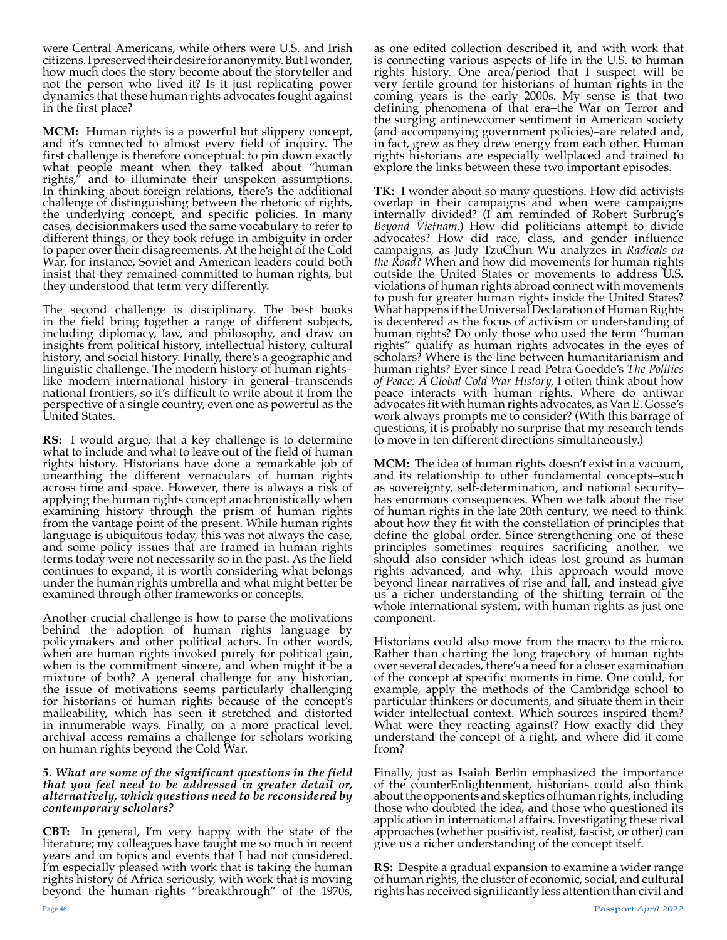were Central Americans, while others were U.S. and Irish citizens. I preserved their desire for anonymity. But I wonder, how much does the story become about the storyteller and not the person who lived it? Is it just replicating power dynamics that these human rights advocates fought against in the first place?

**MCM:** Human rights is a powerful but slippery concept, and it's connected to almost every field of inquiry. The first challenge is therefore conceptual: to pin down exactly what people meant when they talked about "human rights," and to illuminate their unspoken assumptions. In thinking about foreign relations, there's the additional challenge of distinguishing between the rhetoric of rights, the underlying concept, and specific policies. In many cases, decisionmakers used the same vocabulary to refer to different things, or they took refuge in ambiguity in order to paper over their disagreements. At the height of the Cold War, for instance, Soviet and American leaders could both insist that they remained committed to human rights, but they understood that term very differently.

The second challenge is disciplinary. The best books in the field bring together a range of different subjects, including diplomacy, law, and philosophy, and draw on insights from political history, intellectual history, cultural history, and social history. Finally, there's a geographic and linguistic challenge. The modern history of human rights– like modern international history in general–transcends national frontiers, so it's difficult to write about it from the perspective of a single country, even one as powerful as the United States.

**RS:** I would argue, that a key challenge is to determine what to include and what to leave out of the field of human rights history. Historians have done a remarkable job of unearthing the different vernaculars of human rights across time and space. However, there is always a risk of applying the human rights concept anachronistically when examining history through the prism of human rights from the vantage point of the present. While human rights language is ubiquitous today, this was not always the case, and some policy issues that are framed in human rights terms today were not necessarily so in the past. As the field continues to expand, it is worth considering what belongs under the human rights umbrella and what might better be examined through other frameworks or concepts.

Another crucial challenge is how to parse the motivations behind the adoption of human rights language by policymakers and other political actors. In other words, when are human rights invoked purely for political gain, when is the commitment sincere, and when might it be a mixture of both? A general challenge for any historian, the issue of motivations seems particularly challenging for historians of human rights because of the concept's malleability, which has seen it stretched and distorted in innumerable ways. Finally, on a more practical level, archival access remains a challenge for scholars working on human rights beyond the Cold War.

### *5. What are some of the significant questions in the field that you feel need to be addressed in greater detail or, alternatively, which questions need to be reconsidered by contemporary scholars?*

**CBT:** In general, I'm very happy with the state of the literature; my colleagues have taught me so much in recent years and on topics and events that I had not considered. I'm especially pleased with work that is taking the human rights history of Africa seriously, with work that is moving beyond the human rights "breakthrough" of the 1970s,

as one edited collection described it, and with work that is connecting various aspects of life in the U.S. to human rights history. One area/period that I suspect will be very fertile ground for historians of human rights in the coming years is the early 2000s. My sense is that two defining phenomena of that era–the War on Terror and the surging antinewcomer sentiment in American society (and accompanying government policies)–are related and, in fact, grew as they drew energy from each other. Human rights historians are especially wellplaced and trained to explore the links between these two important episodes.

**TK:** I wonder about so many questions. How did activists overlap in their campaigns and when were campaigns internally divided? (I am reminded of Robert Surbrug's *Beyond Vietnam*.) How did politicians attempt to divide advocates? How did race, class, and gender influence campaigns, as Judy TzuChun Wu analyzes in *Radicals on the Road*? When and how did movements for human rights outside the United States or movements to address U.S. violations of human rights abroad connect with movements to push for greater human rights inside the United States? What happens if the Universal Declaration of Human Rights is decentered as the focus of activism or understanding of human rights? Do only those who used the term "human rights" qualify as human rights advocates in the eyes of scholars? Where is the line between humanitarianism and human rights? Ever since I read Petra Goedde's *The Politics of Peace: A Global Cold War History*, I often think about how peace interacts with human rights. Where do antiwar advocates fit with human rights advocates, as Van E. Gosse's work always prompts me to consider? (With this barrage of questions, it is probably no surprise that my research tends to move in ten different directions simultaneously.)

**MCM:** The idea of human rights doesn't exist in a vacuum, and its relationship to other fundamental concepts–such as sovereignty, self-determination, and national security– has enormous consequences. When we talk about the rise of human rights in the late 20th century, we need to think about how they fit with the constellation of principles that define the global order. Since strengthening one of these principles sometimes requires sacrificing another, we should also consider which ideas lost ground as human rights advanced, and why. This approach would move beyond linear narratives of rise and fall, and instead give us a richer understanding of the shifting terrain of the whole international system, with human rights as just one component.

Historians could also move from the macro to the micro. Rather than charting the long trajectory of human rights over several decades, there's a need for a closer examination of the concept at specific moments in time. One could, for example, apply the methods of the Cambridge school to particular thinkers or documents, and situate them in their wider intellectual context. Which sources inspired them? What were they reacting against? How exactly did they understand the concept of a right, and where did it come from?

Finally, just as Isaiah Berlin emphasized the importance of the counterEnlightenment, historians could also think about the opponents and skeptics of human rights, including those who doubted the idea, and those who questioned its application in international affairs. Investigating these rival approaches (whether positivist, realist, fascist, or other) can give us a richer understanding of the concept itself.

**RS:** Despite a gradual expansion to examine a wider range of human rights, the cluster of economic, social, and cultural rights has received significantly less attention than civil and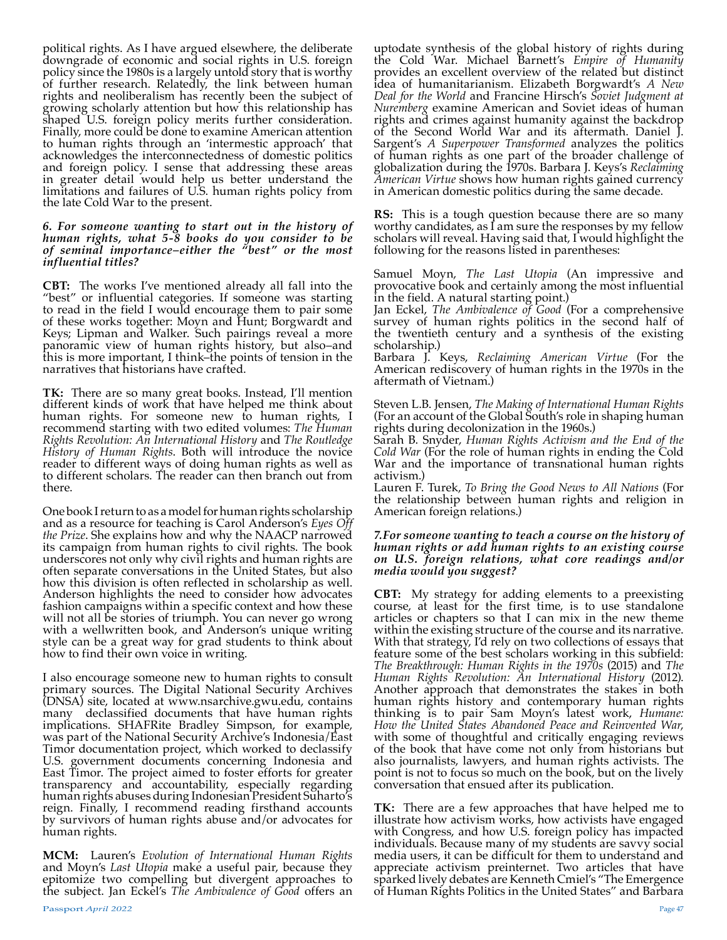political rights. As I have argued elsewhere, the deliberate downgrade of economic and social rights in U.S. foreign policy since the 1980s is a largely untold story that is worthy of further research. Relatedly, the link between human rights and neoliberalism has recently been the subject of growing scholarly attention but how this relationship has shaped U.S. foreign policy merits further consideration. Finally, more could be done to examine American attention to human rights through an 'intermestic approach' that acknowledges the interconnectedness of domestic politics and foreign policy. I sense that addressing these areas in greater detail would help us better understand the limitations and failures of U.S. human rights policy from the late Cold War to the present.

#### *6. For someone wanting to start out in the history of human rights, what 5-8 books do you consider to be of seminal importance–either the "best" or the most influential titles?*

**CBT:** The works I've mentioned already all fall into the "best" or influential categories. If someone was starting to read in the field I would encourage them to pair some of these works together: Moyn and Hunt; Borgwardt and Keys; Lipman and Walker. Such pairings reveal a more panoramic view of human rights history, but also–and this is more important, I think–the points of tension in the narratives that historians have crafted.

**TK:** There are so many great books. Instead, I'll mention different kinds of work that have helped me think about human rights. For someone new to human rights, I recommend starting with two edited volumes: *The Human Rights Revolution: An International History* and *The Routledge History of Human Rights*. Both will introduce the novice reader to different ways of doing human rights as well as to different scholars. The reader can then branch out from there.

One book I return to as a model for human rights scholarship and as a resource for teaching is Carol Anderson's *Eyes Off the Prize*. She explains how and why the NAACP narrowed its campaign from human rights to civil rights. The book underscores not only why civil rights and human rights are often separate conversations in the United States, but also how this division is often reflected in scholarship as well. Anderson highlights the need to consider how advocates fashion campaigns within a specific context and how these will not all be stories of triumph. You can never go wrong with a wellwritten book, and Anderson's unique writing style can be a great way for grad students to think about how to find their own voice in writing.

I also encourage someone new to human rights to consult primary sources. The Digital National Security Archives (DNSA) site, located at www.nsarchive.gwu.edu, contains many declassified documents that have human rights implications. SHAFRite Bradley Simpson, for example, was part of the National Security Archive's Indonesia/East Timor documentation project, which worked to declassify U.S. government documents concerning Indonesia and East Timor. The project aimed to foster efforts for greater transparency and accountability, especially regarding human rights abuses during Indonesian President Suharto's reign. Finally, I recommend reading firsthand accounts by survivors of human rights abuse and/or advocates for human rights.

**MCM:** Lauren's *Evolution of International Human Rights*  and Moyn's *Last Utopia* make a useful pair, because they epitomize two compelling but divergent approaches to the subject. Jan Eckel's *The Ambivalence of Good* offers an

uptodate synthesis of the global history of rights during the Cold War. Michael Barnett's *Empire of Humanity*  provides an excellent overview of the related but distinct idea of humanitarianism. Elizabeth Borgwardt's *A New Deal for the World* and Francine Hirsch's *Soviet Judgment at Nuremberg* examine American and Soviet ideas of human rights and crimes against humanity against the backdrop of the Second World War and its aftermath. Daniel J. Sargent's *A Superpower Transformed* analyzes the politics of human rights as one part of the broader challenge of globalization during the 1970s. Barbara J. Keys's *Reclaiming American Virtue* shows how human rights gained currency in American domestic politics during the same decade.

**RS:** This is a tough question because there are so many worthy candidates, as I am sure the responses by my fellow scholars will reveal. Having said that, I would highlight the following for the reasons listed in parentheses:

Samuel Moyn, *The Last Utopia* (An impressive and provocative book and certainly among the most influential in the field. A natural starting point.)

Jan Eckel, *The Ambivalence of Good* (For a comprehensive survey of human rights politics in the second half of the twentieth century and a synthesis of the existing scholarship.)

Barbara J. Keys, *Reclaiming American Virtue* (For the American rediscovery of human rights in the 1970s in the aftermath of Vietnam.)

Steven L.B. Jensen, *The Making of International Human Rights*  (For an account of the Global South's role in shaping human rights during decolonization in the 1960s.)

Sarah B. Snyder, *Human Rights Activism and the End of the Cold War* (For the role of human rights in ending the Cold War and the importance of transnational human rights activism.)

Lauren F. Turek, *To Bring the Good News to All Nations* (For the relationship between human rights and religion in American foreign relations.)

### *7.For someone wanting to teach a course on the history of human rights or add human rights to an existing course on U.S. foreign relations, what core readings and/or media would you suggest?*

**CBT:** My strategy for adding elements to a preexisting course, at least for the first time, is to use standalone articles or chapters so that I can mix in the new theme within the existing structure of the course and its narrative. With that strategy, I'd rely on two collections of essays that feature some of the best scholars working in this subfield: *The Breakthrough: Human Rights in the 1970s* (2015) and *The Human Rights Revolution: An International History* (2012). Another approach that demonstrates the stakes in both human rights history and contemporary human rights thinking is to pair Sam Moyn's latest work, *Humane: How the United States Abandoned Peace and Reinvented War*, with some of thoughtful and critically engaging reviews of the book that have come not only from historians but also journalists, lawyers, and human rights activists. The point is not to focus so much on the book, but on the lively conversation that ensued after its publication.

**TK:** There are a few approaches that have helped me to illustrate how activism works, how activists have engaged with Congress, and how U.S. foreign policy has impacted individuals. Because many of my students are savvy social media users, it can be difficult for them to understand and appreciate activism preinternet. Two articles that have sparked lively debates are Kenneth Cmiel's "The Emergence of Human Rights Politics in the United States" and Barbara